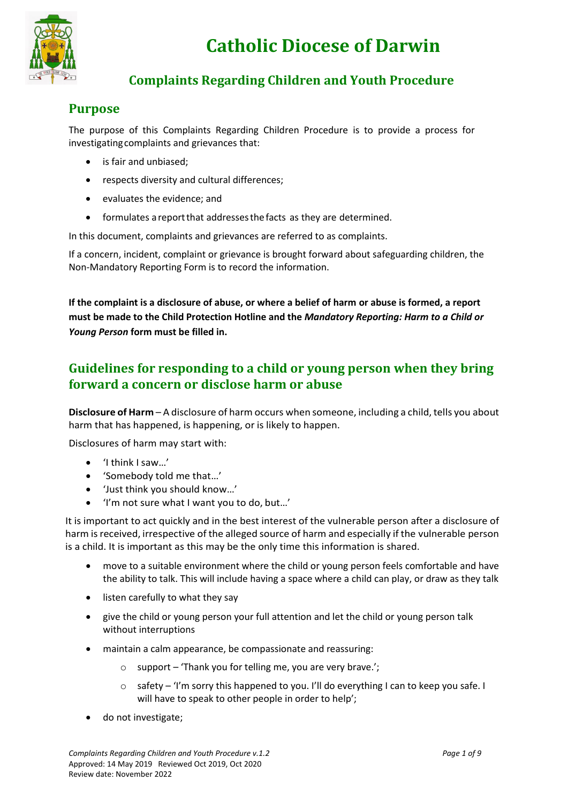

# **Catholic Diocese of Darwin**

# **Complaints Regarding Children and Youth Procedure**

# **Purpose**

The purpose of this Complaints Regarding Children Procedure is to provide a process for investigating complaints and grievances that:

- is fair and unbiased;
- respects diversity and cultural differences;
- evaluates the evidence; and
- formulates areportthat addressesthefacts as they are determined.

In this document, complaints and grievances are referred to as complaints.

If a concern, incident, complaint or grievance is brought forward about safeguarding children, the Non-Mandatory Reporting Form is to record the information.

**If the complaint is a disclosure of abuse, or where a belief of harm or abuse is formed, a report must be made to the Child Protection Hotline and the** *Mandatory Reporting: Harm to a Child or Young Person* **form must be filled in.**

# **Guidelines for responding to a child or young person when they bring forward a concern or disclose harm or abuse**

**Disclosure of Harm** – A disclosure of harm occurs when someone, including a child, tells you about harm that has happened, is happening, or is likely to happen.

Disclosures of harm may start with:

- 'I think I saw…'
- 'Somebody told me that…'
- 'Just think you should know…'
- 'I'm not sure what I want you to do, but…'

It is important to act quickly and in the best interest of the vulnerable person after a disclosure of harm is received, irrespective of the alleged source of harm and especially if the vulnerable person is a child. It is important as this may be the only time this information is shared.

- move to a suitable environment where the child or young person feels comfortable and have the ability to talk. This will include having a space where a child can play, or draw as they talk
- listen carefully to what they say
- give the child or young person your full attention and let the child or young person talk without interruptions
- maintain a calm appearance, be compassionate and reassuring:
	- o support 'Thank you for telling me, you are very brave.';
	- o safety 'I'm sorry this happened to you. I'll do everything I can to keep you safe. I will have to speak to other people in order to help';
- do not investigate;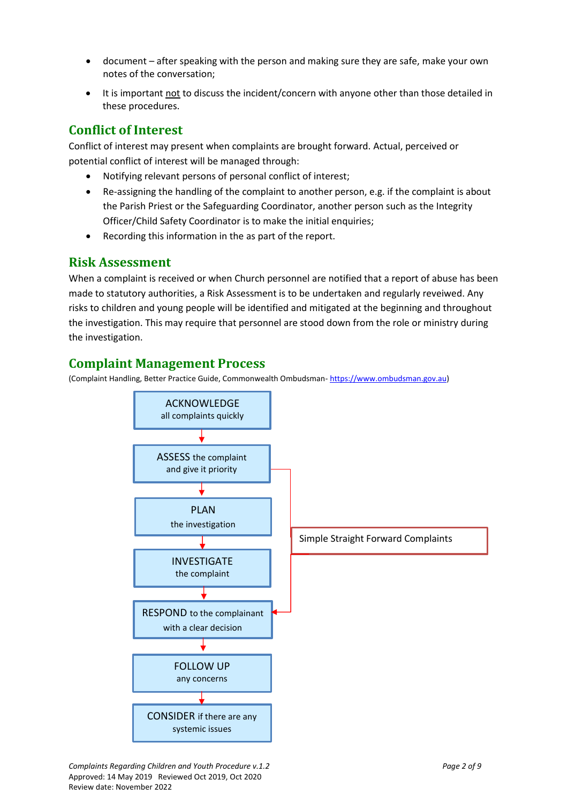- document after speaking with the person and making sure they are safe, make your own notes of the conversation;
- It is important not to discuss the incident/concern with anyone other than those detailed in these procedures.

# **Conflict of Interest**

Conflict of interest may present when complaints are brought forward. Actual, perceived or potential conflict of interest will be managed through:

- Notifying relevant persons of personal conflict of interest;
- Re-assigning the handling of the complaint to another person, e.g. if the complaint is about the Parish Priest or the Safeguarding Coordinator, another person such as the Integrity Officer/Child Safety Coordinator is to make the initial enquiries;
- Recording this information in the as part of the report.

## **Risk Assessment**

When a complaint is received or when Church personnel are notified that a report of abuse has been made to statutory authorities, a Risk Assessment is to be undertaken and regularly reveiwed. Any risks to children and young people will be identified and mitigated at the beginning and throughout the investigation. This may require that personnel are stood down from the role or ministry during the investigation.

# **Complaint Management Process**

(Complaint Handling, Better Practice Guide, Commonwealth Ombudsman- [https://www.ombudsman.gov.au\)](https://www.ombudsman.gov.au/)

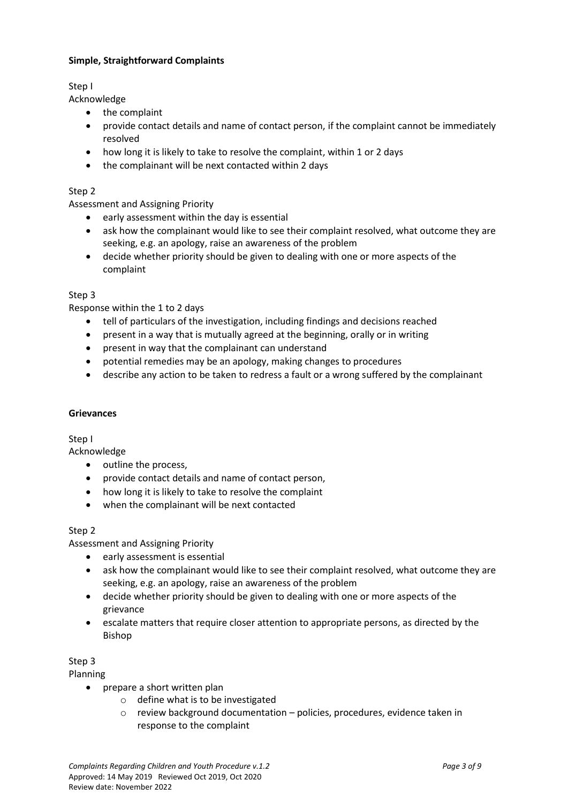### **Simple, Straightforward Complaints**

Step I

Acknowledge

- the complaint
- provide contact details and name of contact person, if the complaint cannot be immediately resolved
- how long it is likely to take to resolve the complaint, within 1 or 2 days
- the complainant will be next contacted within 2 days

### Step 2

Assessment and Assigning Priority

- $\bullet$  early assessment within the day is essential
- ask how the complainant would like to see their complaint resolved, what outcome they are seeking, e.g. an apology, raise an awareness of the problem
- decide whether priority should be given to dealing with one or more aspects of the complaint

#### Step 3

Response within the 1 to 2 days

- tell of particulars of the investigation, including findings and decisions reached
- present in a way that is mutually agreed at the beginning, orally or in writing
- present in way that the complainant can understand
- potential remedies may be an apology, making changes to procedures
- describe any action to be taken to redress a fault or a wrong suffered by the complainant

#### **Grievances**

Step I

Acknowledge

- outline the process,
- provide contact details and name of contact person,
- how long it is likely to take to resolve the complaint
- when the complainant will be next contacted

#### Step 2

Assessment and Assigning Priority

- early assessment is essential
- ask how the complainant would like to see their complaint resolved, what outcome they are seeking, e.g. an apology, raise an awareness of the problem
- decide whether priority should be given to dealing with one or more aspects of the grievance
- escalate matters that require closer attention to appropriate persons, as directed by the Bishop

Step 3

Planning

- prepare a short written plan
	- o define what is to be investigated
	- o review background documentation policies, procedures, evidence taken in response to the complaint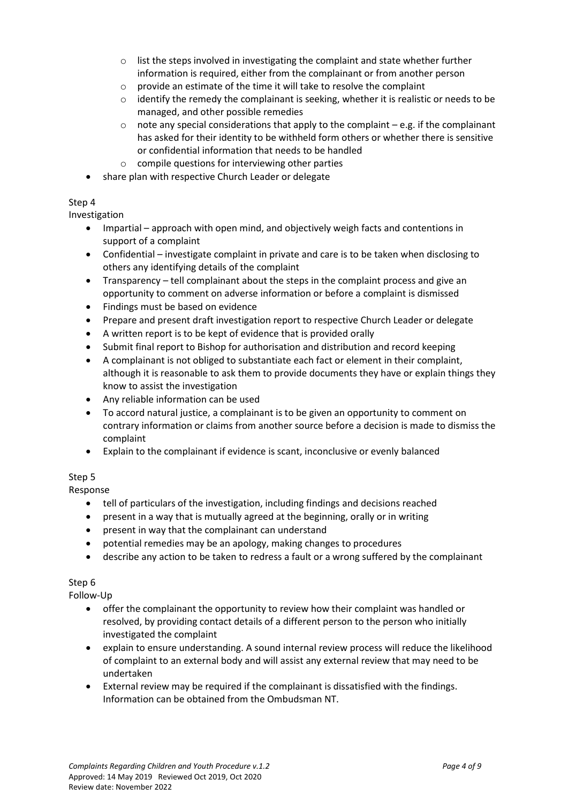- $\circ$  list the steps involved in investigating the complaint and state whether further information is required, either from the complainant or from another person
- o provide an estimate of the time it will take to resolve the complaint
- $\circ$  identify the remedy the complainant is seeking, whether it is realistic or needs to be managed, and other possible remedies
- $\circ$  note any special considerations that apply to the complaint e.g. if the complainant has asked for their identity to be withheld form others or whether there is sensitive or confidential information that needs to be handled
- $\circ$  compile questions for interviewing other parties
- share plan with respective Church Leader or delegate

### Step 4

Investigation

- Impartial approach with open mind, and objectively weigh facts and contentions in support of a complaint
- Confidential investigate complaint in private and care is to be taken when disclosing to others any identifying details of the complaint
- Transparency tell complainant about the steps in the complaint process and give an opportunity to comment on adverse information or before a complaint is dismissed
- Findings must be based on evidence
- Prepare and present draft investigation report to respective Church Leader or delegate
- A written report is to be kept of evidence that is provided orally
- Submit final report to Bishop for authorisation and distribution and record keeping
- A complainant is not obliged to substantiate each fact or element in their complaint, although it is reasonable to ask them to provide documents they have or explain things they know to assist the investigation
- Any reliable information can be used
- To accord natural justice, a complainant is to be given an opportunity to comment on contrary information or claims from another source before a decision is made to dismiss the complaint
- Explain to the complainant if evidence is scant, inconclusive or evenly balanced

### Step 5

Response

- tell of particulars of the investigation, including findings and decisions reached
- present in a way that is mutually agreed at the beginning, orally or in writing
- present in way that the complainant can understand
- potential remedies may be an apology, making changes to procedures
- describe any action to be taken to redress a fault or a wrong suffered by the complainant

### Step 6

Follow-Up

- offer the complainant the opportunity to review how their complaint was handled or resolved, by providing contact details of a different person to the person who initially investigated the complaint
- explain to ensure understanding. A sound internal review process will reduce the likelihood of complaint to an external body and will assist any external review that may need to be undertaken
- External review may be required if the complainant is dissatisfied with the findings. Information can be obtained from the Ombudsman NT.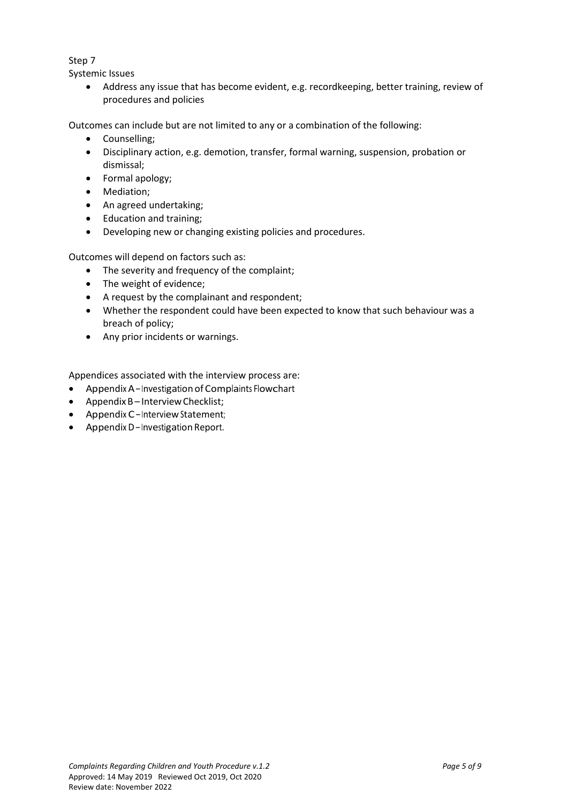### Step 7

Systemic Issues

 Address any issue that has become evident, e.g. recordkeeping, better training, review of procedures and policies

Outcomes can include but are not limited to any or a combination of the following:

- Counselling;
- Disciplinary action, e.g. demotion, transfer, formal warning, suspension, probation or dismissal;
- Formal apology;
- Mediation;
- An agreed undertaking:
- Education and training;
- Developing new or changing existing policies and procedures.

Outcomes will depend on factors such as:

- The severity and frequency of the complaint;
- The weight of evidence;
- A request by the complainant and respondent;
- Whether the respondent could have been expected to know that such behaviour was a breach of policy;
- Any prior incidents or warnings.

Appendices associated with the interview process are:

- Appendix A– Investigation of Complaints Flowchart
- Appendix B-Interview Checklist;
- Appendix C–Interview Statement;
- Appendix D Investigation Report.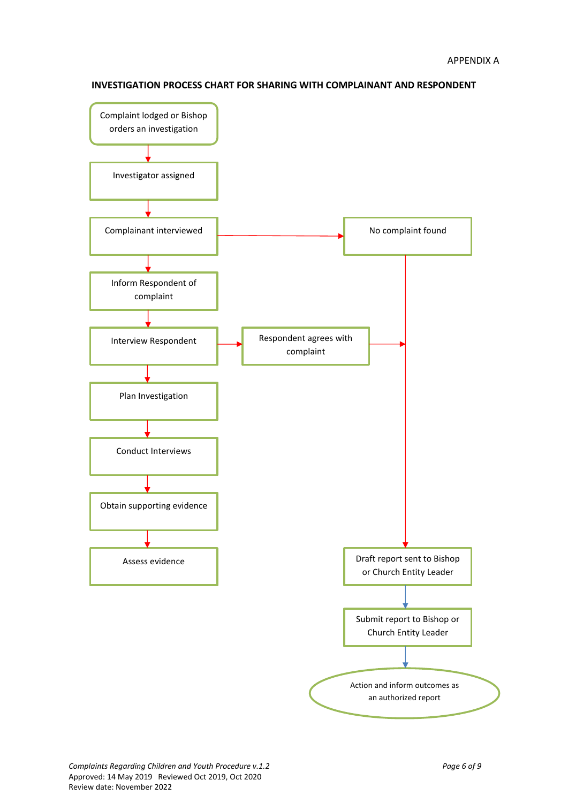

**INVESTIGATION PROCESS CHART FOR SHARING WITH COMPLAINANT AND RESPONDENT**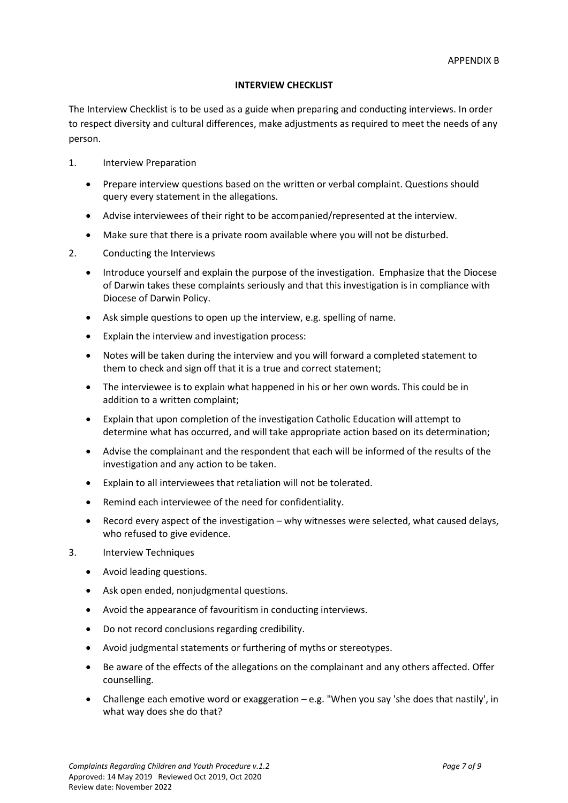#### **INTERVIEW CHECKLIST**

The Interview Checklist is to be used as a guide when preparing and conducting interviews. In order to respect diversity and cultural differences, make adjustments as required to meet the needs of any person.

- 1. Interview Preparation
	- Prepare interview questions based on the written or verbal complaint. Questions should query every statement in the allegations.
	- Advise interviewees of their right to be accompanied/represented at the interview.
	- Make sure that there is a private room available where you will not be disturbed.
- 2. Conducting the Interviews
	- Introduce yourself and explain the purpose of the investigation. Emphasize that the Diocese of Darwin takes these complaints seriously and that this investigation is in compliance with Diocese of Darwin Policy.
	- Ask simple questions to open up the interview, e.g. spelling of name.
	- Explain the interview and investigation process:
	- Notes will be taken during the interview and you will forward a completed statement to them to check and sign off that it is a true and correct statement;
	- The interviewee is to explain what happened in his or her own words. This could be in addition to a written complaint;
	- Explain that upon completion of the investigation Catholic Education will attempt to determine what has occurred, and will take appropriate action based on its determination;
	- Advise the complainant and the respondent that each will be informed of the results of the investigation and any action to be taken.
	- Explain to all interviewees that retaliation will not be tolerated.
	- Remind each interviewee of the need for confidentiality.
	- Record every aspect of the investigation why witnesses were selected, what caused delays, who refused to give evidence.
- 3. Interview Techniques
	- Avoid leading questions.
	- Ask open ended, nonjudgmental questions.
	- Avoid the appearance of favouritism in conducting interviews.
	- Do not record conclusions regarding credibility.
	- Avoid judgmental statements or furthering of myths or stereotypes.
	- Be aware of the effects of the allegations on the complainant and any others affected. Offer counselling.
	- Challenge each emotive word or exaggeration e.g. "When you say 'she does that nastily', in what way does she do that?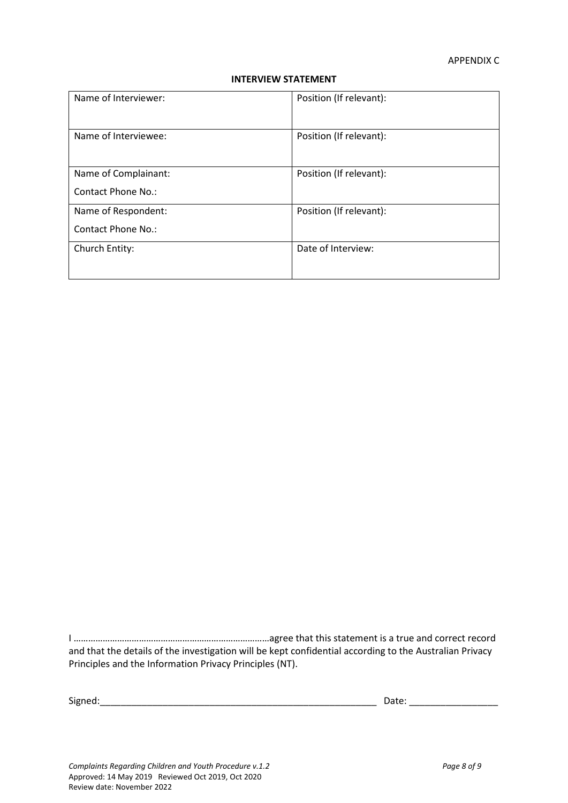#### **INTERVIEW STATEMENT**

| Name of Interviewer: | Position (If relevant): |
|----------------------|-------------------------|
| Name of Interviewee: | Position (If relevant): |
| Name of Complainant: | Position (If relevant): |
| Contact Phone No.:   |                         |
| Name of Respondent:  | Position (If relevant): |
| Contact Phone No.:   |                         |
| Church Entity:       | Date of Interview:      |
|                      |                         |

I ………………………………………………………………………agree that this statement is a true and correct record and that the details of the investigation will be kept confidential according to the Australian Privacy Principles and the Information Privacy Principles (NT).

Signed:\_\_\_\_\_\_\_\_\_\_\_\_\_\_\_\_\_\_\_\_\_\_\_\_\_\_\_\_\_\_\_\_\_\_\_\_\_\_\_\_\_\_\_\_\_\_\_\_\_\_\_\_\_ Date: \_\_\_\_\_\_\_\_\_\_\_\_\_\_\_\_\_